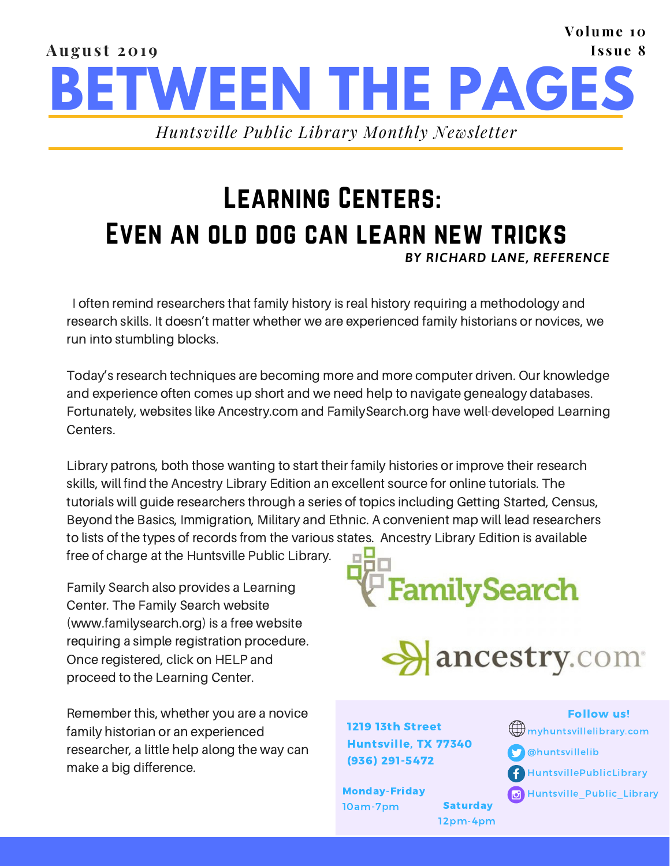#### **BETWEEN THE PAGES Augus t 201 9 Volume 10 I s sue 8** *Huntsville Public Library Monthly Newsletter*

### Learning Centers: Even an old dog can learn new tricks *BY RICHARD LANE, REFERENCE*

I often remind researchers that family history is real history requiring a methodology and research skills. It doesn't matter whether we are experienced family historians or novices, we run into stumbling blocks.

Today's research techniques are becoming more and more computer driven. Our knowledge and experience often comes up short and we need help to navigate genealogy databases. Fortunately, websites like Ancestry.com and FamilySearch.org have well-developed Learning Centers.

Library patrons, both those wanting to start their family histories or improve their research skills, will find the Ancestry Library Edition an excellent source for online tutorials. The tutorials will guide researchers through a series of topics including Getting Started, Census, Beyond the Basics, Immigration, Military and Ethnic. A convenient map will lead researchers to lists of the types of records from the various states. Ancestry Library Edition is available

free of charge at the Huntsville Public Library.

Family Search also provides a Learning Center. The Family Search website (www.familysearch.org) is a free website requiring a simple registration procedure. Once registered, click on HELP and proceed to the Learning Center.

Remember this, whether you are a novice family historian or an experienced researcher, a little help along the way can make a big difference.





1219 13th Street Huntsville, TX 77340 (936) 291-5472

10am-7pm Saturday

12pm-4pm

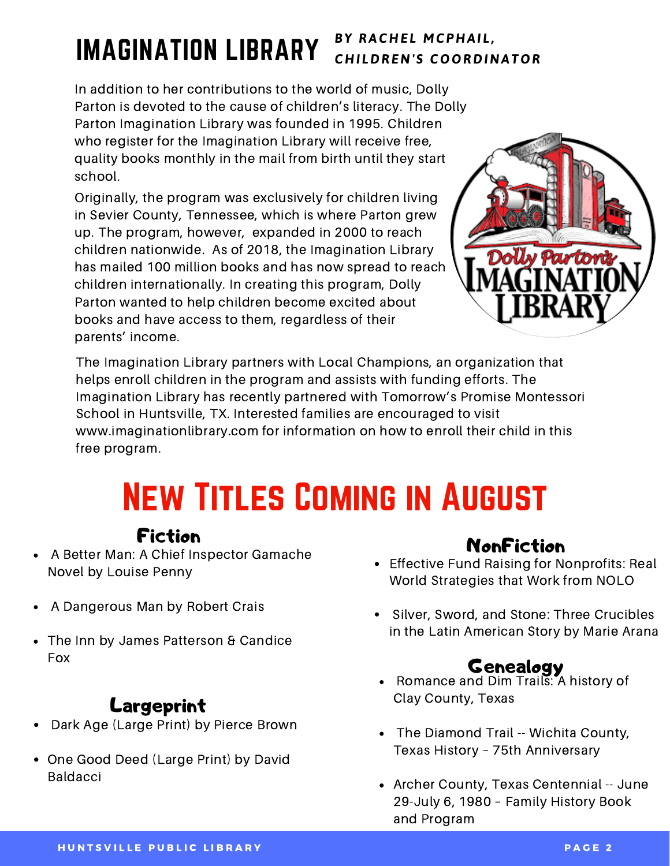## IMAGINATION LIBRARY

#### *B Y RAC H E L M CP H AI L , C H I LDRE N ' S C O O RDI N AT O R*

In addition to her contributions to the world of music, Dolly Parton is devoted to the cause of children's literacy. The Dolly Parton Imagination Library was founded in 1995. Children who register for the Imagination Library will receive free, quality books monthly in the mail from birth until they start school.

Originally, the program was exclusively for children living in Sevier County, Tennessee, which is where Parton grew up. The program, however, expanded in 2000 to reach children nationwide. As of 2018, the Imagination Library has mailed 100 million books and has now spread to reach children internationally. In creating this program, Dolly Parton wanted to help children become excited about books and have access to them, regardless of their parents' income.



The Imagination Library partners with Local Champions, an organization that helps enroll children in the program and assists with funding efforts. The Imagination Library has recently partnered with Tomorrow's Promise Montessori School in Huntsville, TX. Interested families are encouraged to visit www.imaginationlibrary.com for information on how to enroll their child in this free program.

# New Titles Coming in August

#### Fiction

- A Better Man: A Chief Inspector Gamache Novel by Louise Penny
- A Dangerous Man by Robert Crais
- The Inn by James Patterson & Candice Fox

### Largeprint

- Dark Age (Large Print) by Pierce Brown  $\bullet$
- One Good Deed (Large Print) by David Baldacci

#### NonFiction

- Effective Fund Raising for Nonprofits: Real World Strategies that Work from NOLO
- Silver, Sword, and Stone: Three Crucibles in the Latin American Story by Marie Arana

#### Genealogy

- Romance and Dim Trails: A history of Clay County, Texas
- $\bullet$ The Diamond Trail -- Wichita County, Texas History – 75th Anniversary
- Archer County, Texas Centennial -- June 29-July 6, 1980 – Family History Book and Program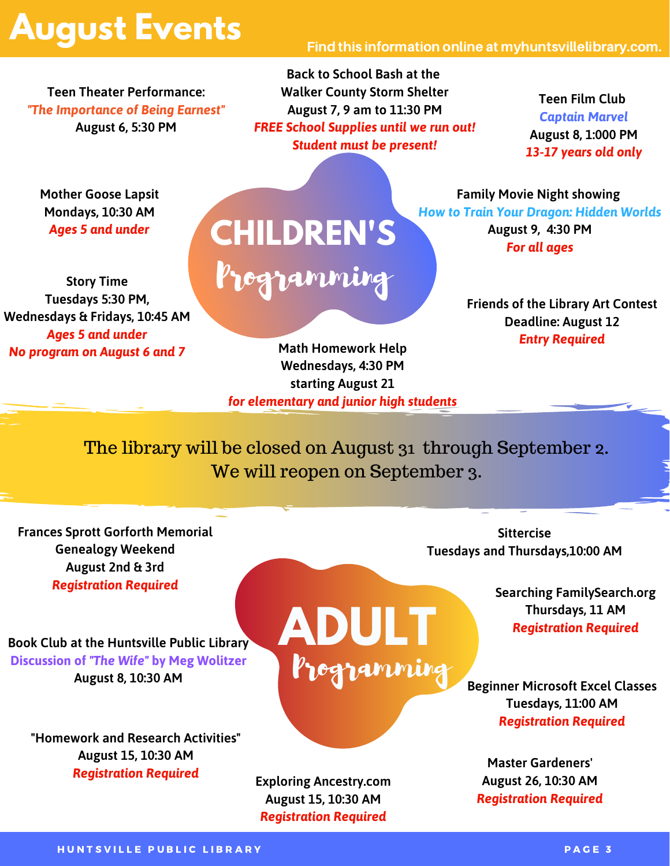## **August Events**

#### Find this information online at myhuntsvillelibrary.com.

**Teen Theater Performance:** *"The Importance of Being Earnest"* **August 6, 5:30 PM**

**Back to School Bash at the Walker County Storm Shelter August 7, 9 am to 11:30 PM** *FREE School Supplies until we run out! Student must be present!*

**Teen Film Club** *Captain Marvel* **August 8, 1:000 PM** *13-17 years old only*

**Mother Goose Lapsit Mondays, 10:30 AM** *Ages 5 and under*

**Story Time Tuesdays 5:30 PM, Wednesdays & Fridays, 10:45 AM** *Ages 5 and under No program on August 6 and 7*

Programming **CHILDREN'S**

**Family Movie Night showing** *How to Train Your Dragon: Hidden Worlds* **August 9, 4:30 PM** *For all ages*

> **Friends of the Library Art Contest Deadline: August 12** *Entry Required*

**Math Homework Help Wednesdays, 4:30 PM starting August 21** *for elementary and junior high students*

The library will be closed on August 31 through September 2. We will reopen on September 3.

**ADULT**

Programming

**Frances Sprott Gorforth Memorial Genealogy Weekend August 2nd & 3rd** *Registration Required*

**Book Club at the Huntsville Public Library Discussion of** *"The Wife"* **by Meg Wolitzer August 8, 10:30 AM**

**"Homework and Research Activities" August 15, 10:30 AM** *Registration Required*

**Exploring Ancestry.com August 15, 10:30 AM** *Registration Required*

**Sittercise Tuesdays and Thursdays,10:00 AM**

> **Searching FamilySearch.org Thursdays, 11 AM** *Registration Required*

**Beginner Microsoft Excel Classes Tuesdays, 11:00 AM** *Registration Required*

**Master Gardeners' August 26, 10:30 AM** *Registration Required*